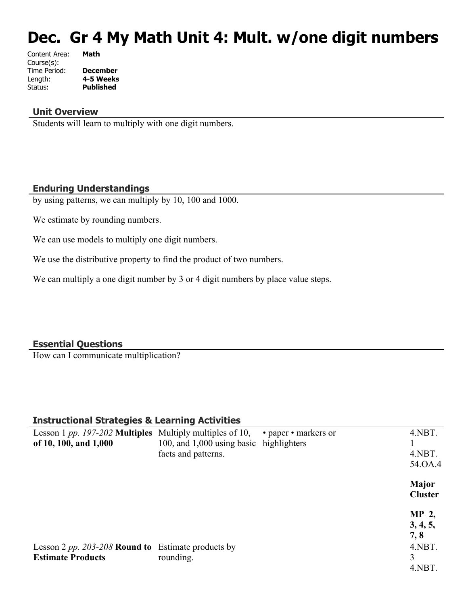# **Dec. Gr 4 My Math Unit 4: Mult. w/one digit numbers**

| Content Area: | Math             |
|---------------|------------------|
| Course(s):    |                  |
| Time Period:  | <b>December</b>  |
| Length:       | 4-5 Weeks        |
| Status:       | <b>Published</b> |
|               |                  |

#### **Unit Overview**

Students will learn to multiply with one digit numbers.

#### **Enduring Understandings**

by using patterns, we can multiply by 10, 100 and 1000.

We estimate by rounding numbers.

We can use models to multiply one digit numbers.

We use the distributive property to find the product of two numbers.

We can multiply a one digit number by 3 or 4 digit numbers by place value steps.

#### **Essential Questions**

How can I communicate multiplication?

#### **Instructional Strategies & Learning Activities**

| Lesson 1 <i>pp. 197-202</i> <b>Multiples</b> Multiply multiples of 10, |                                         | • paper • markers or | 4.NBT.                         |
|------------------------------------------------------------------------|-----------------------------------------|----------------------|--------------------------------|
| of 10, 100, and 1,000                                                  | 100, and 1,000 using basic highlighters |                      |                                |
|                                                                        | facts and patterns.                     |                      | 4.NBT.                         |
|                                                                        |                                         |                      | 54.OA.4                        |
|                                                                        |                                         |                      | <b>Major</b><br><b>Cluster</b> |
|                                                                        |                                         |                      | MP 2,                          |
|                                                                        |                                         |                      | 3, 4, 5,                       |
|                                                                        |                                         |                      | 7,8                            |
| Lesson 2 pp. 203-208 Round to Estimate products by                     |                                         |                      | 4.NBT.                         |
| <b>Estimate Products</b>                                               | rounding.                               |                      | 3                              |
|                                                                        |                                         |                      | 4.NBT.                         |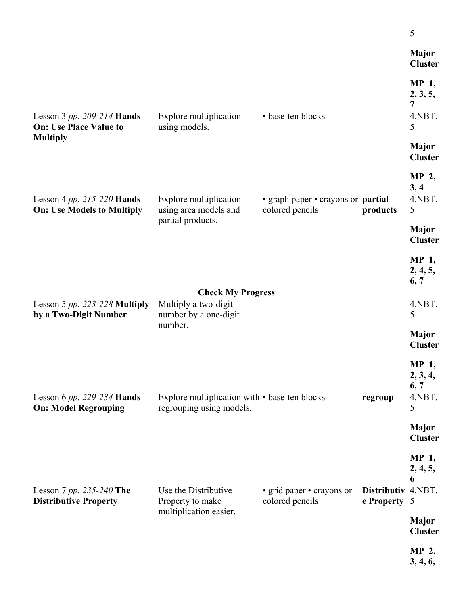|                                                                 |                                                                           |                                                       |                                    | 5                                        |
|-----------------------------------------------------------------|---------------------------------------------------------------------------|-------------------------------------------------------|------------------------------------|------------------------------------------|
|                                                                 |                                                                           |                                                       |                                    | <b>Major</b><br><b>Cluster</b>           |
| Lesson 3 pp. 209-214 Hands<br><b>On: Use Place Value to</b>     | Explore multiplication<br>using models.                                   | • base-ten blocks                                     |                                    | MP 1,<br>2, 3, 5,<br>7<br>4.NBT.<br>5    |
| <b>Multiply</b>                                                 |                                                                           |                                                       |                                    | <b>Major</b><br><b>Cluster</b>           |
| Lesson 4 pp. 215-220 Hands<br><b>On: Use Models to Multiply</b> | Explore multiplication<br>using area models and                           | • graph paper • crayons or partial<br>colored pencils | products                           | MP 2,<br>3, 4<br>4.NBT.<br>5             |
|                                                                 | partial products.                                                         |                                                       |                                    | <b>Major</b><br><b>Cluster</b>           |
|                                                                 |                                                                           |                                                       |                                    | MP 1,<br>2, 4, 5,<br>6, 7                |
| Lesson 5 $pp. 223-228$ Multiply<br>by a Two-Digit Number        | <b>Check My Progress</b><br>Multiply a two-digit<br>number by a one-digit |                                                       |                                    | 4.NBT.<br>5                              |
|                                                                 | number.                                                                   |                                                       |                                    | <b>Major</b><br><b>Cluster</b>           |
| Lesson 6 pp. 229-234 Hands<br><b>On: Model Regrouping</b>       | Explore multiplication with • base-ten blocks<br>regrouping using models. |                                                       | regroup                            | MP 1,<br>2, 3, 4,<br>6, 7<br>4.NBT.<br>5 |
|                                                                 |                                                                           |                                                       |                                    | <b>Major</b><br><b>Cluster</b>           |
| Lesson 7 pp. 235-240 The<br><b>Distributive Property</b>        | Use the Distributive<br>Property to make                                  | • grid paper • crayons or<br>colored pencils          | Distributiv 4.NBT.<br>e Property 5 | MP 1,<br>2, 4, 5,<br>6                   |
|                                                                 | multiplication easier.                                                    |                                                       |                                    | <b>Major</b><br><b>Cluster</b>           |
|                                                                 |                                                                           |                                                       |                                    | MP 2,<br>3, 4, 6,                        |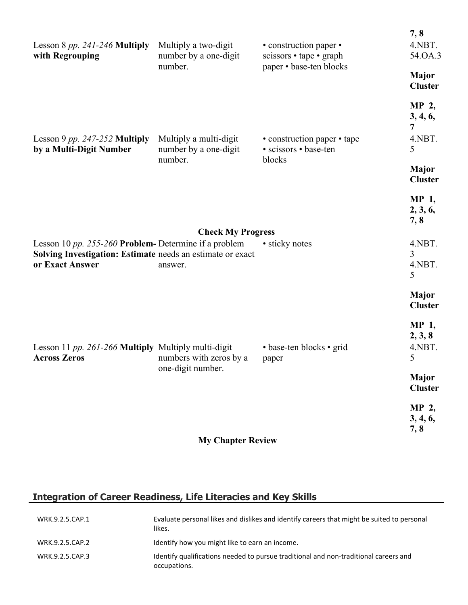| Lesson 8 $pp. 241-246$ Multiply<br>with Regrouping                                                                                    | Multiply a two-digit<br>number by a one-digit              | • construction paper •<br>scissors • tape • graph              | 7, 8<br>4.NBT.<br>54.OA.3       |
|---------------------------------------------------------------------------------------------------------------------------------------|------------------------------------------------------------|----------------------------------------------------------------|---------------------------------|
|                                                                                                                                       | number.                                                    | paper • base-ten blocks                                        | <b>Major</b><br><b>Cluster</b>  |
|                                                                                                                                       |                                                            |                                                                | MP 2,<br>3, 4, 6,<br>7          |
| Lesson 9 pp. 247-252 Multiply<br>by a Multi-Digit Number                                                                              | Multiply a multi-digit<br>number by a one-digit<br>number. | • construction paper • tape<br>· scissors · base-ten<br>blocks | 4.NBT.<br>5                     |
|                                                                                                                                       |                                                            |                                                                | <b>Major</b><br><b>Cluster</b>  |
|                                                                                                                                       |                                                            |                                                                | MP 1,<br>2, 3, 6,<br>7,8        |
|                                                                                                                                       | <b>Check My Progress</b>                                   |                                                                |                                 |
| Lesson 10 pp. 255-260 Problem-Determine if a problem<br>Solving Investigation: Estimate needs an estimate or exact<br>or Exact Answer | answer.                                                    | • sticky notes                                                 | 4.NBT.<br>3<br>4.NBT.<br>5      |
|                                                                                                                                       |                                                            |                                                                | Major<br><b>Cluster</b>         |
| Lesson 11 pp. 261-266 Multiply Multiply multi-digit<br><b>Across Zeros</b>                                                            | numbers with zeros by a<br>one-digit number.               | • base-ten blocks • grid<br>paper                              | MP 1,<br>2, 3, 8<br>4.NBT.<br>5 |
|                                                                                                                                       |                                                            |                                                                | <b>Major</b><br><b>Cluster</b>  |
|                                                                                                                                       |                                                            |                                                                | MP 2,<br>3, 4, 6,<br>7, 8       |
|                                                                                                                                       | <b>My Chapter Review</b>                                   |                                                                |                                 |

# **Integration of Career Readiness, Life Literacies and Key Skills**

| WRK.9.2.5.CAP.1 | Evaluate personal likes and dislikes and identify careers that might be suited to personal<br>likes. |
|-----------------|------------------------------------------------------------------------------------------------------|
| WRK.9.2.5.CAP.2 | Identify how you might like to earn an income.                                                       |
| WRK.9.2.5.CAP.3 | Identify qualifications needed to pursue traditional and non-traditional careers and<br>occupations. |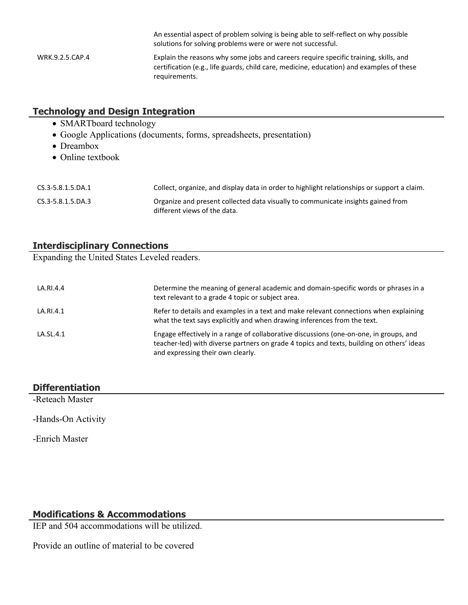An essential aspect of problem solving is being able to self-reflect on why possible solutions for solving problems were or were not successful. WRK.9.2.5.CAP.4 Explain the reasons why some jobs and careers require specific training, skills, and certification (e.g., life guards, child care, medicine, education) and examples of these requirements.

## **Technology and Design Integration**

- SMARTboard technology
- Google Applications (documents, forms, spreadsheets, presentation)
- Dreambox
- Online textbook

| CS.3-5.8.1.5.DA.1 | Collect, organize, and display data in order to highlight relationships or support a claim.                      |
|-------------------|------------------------------------------------------------------------------------------------------------------|
| CS.3-5.8.1.5.DA.3 | Organize and present collected data visually to communicate insights gained from<br>different views of the data. |

## **Interdisciplinary Connections**

Expanding the United States Leveled readers.

| LA.RI.4.4 | Determine the meaning of general academic and domain-specific words or phrases in a<br>text relevant to a grade 4 topic or subject area.                                                                                 |
|-----------|--------------------------------------------------------------------------------------------------------------------------------------------------------------------------------------------------------------------------|
| LA.RI.4.1 | Refer to details and examples in a text and make relevant connections when explaining<br>what the text says explicitly and when drawing inferences from the text.                                                        |
| LA.SL.4.1 | Engage effectively in a range of collaborative discussions (one-on-one, in groups, and<br>teacher-led) with diverse partners on grade 4 topics and texts, building on others' ideas<br>and expressing their own clearly. |

# **Differentiation**

-Reteach Master

-Hands-On Activity

-Enrich Master

## **Modifications & Accommodations**

IEP and 504 accommodations will be utilized.

Provide an outline of material to be covered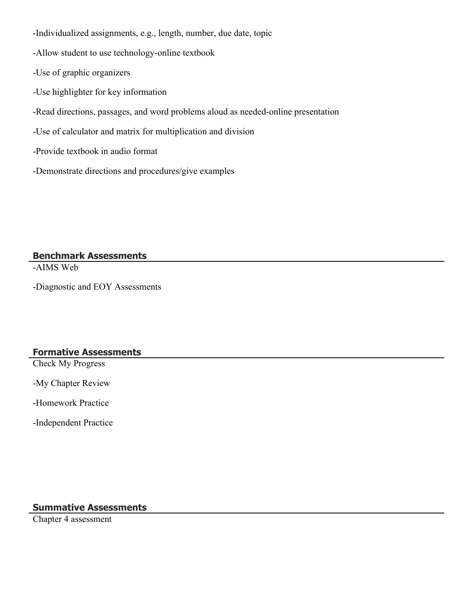-Individualized assignments, e.g., length, number, due date, topic

-Allow student to use technology-online textbook

-Use of graphic organizers

-Use highlighter for key information

-Read directions, passages, and word problems aloud as needed-online presentation

-Use of calculator and matrix for multiplication and division

-Provide textbook in audio format

-Demonstrate directions and procedures/give examples

**Benchmark Assessments**

-AIMS Web

-Diagnostic and EOY Assessments

# **Formative Assessments**

Check My Progress

-My Chapter Review

-Homework Practice

-Independent Practice

#### **Summative Assessments**

Chapter 4 assessment